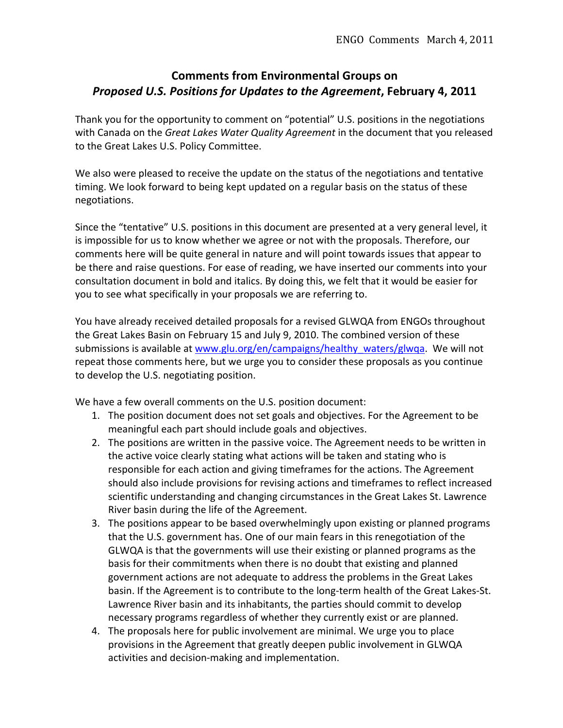# **Comments from Environmental Groups on** *Proposed U.S. Positions for Updates to the Agreement*, February 4, 2011

Thank you for the opportunity to comment on "potential" U.S. positions in the negotiations with Canada on the *Great Lakes Water Quality Agreement* in the document that you released to the Great Lakes U.S. Policy Committee.

We also were pleased to receive the update on the status of the negotiations and tentative timing. We look forward to being kept updated on a regular basis on the status of these negotiations.

Since the "tentative" U.S. positions in this document are presented at a very general level, it is impossible for us to know whether we agree or not with the proposals. Therefore, our comments here will be quite general in nature and will point towards issues that appear to be there and raise questions. For ease of reading, we have inserted our comments into your consultation document in bold and italics. By doing this, we felt that it would be easier for you to see what specifically in your proposals we are referring to.

You have already received detailed proposals for a revised GLWQA from ENGOs throughout the Great Lakes Basin on February 15 and July 9, 2010. The combined version of these submissions is available at www.glu.org/en/campaigns/healthy\_waters/glwqa. We will not repeat those comments here, but we urge you to consider these proposals as you continue to develop the U.S. negotiating position.

We have a few overall comments on the U.S. position document:

- 1. The position document does not set goals and objectives. For the Agreement to be meaningful each part should include goals and objectives.
- 2. The positions are written in the passive voice. The Agreement needs to be written in the active voice clearly stating what actions will be taken and stating who is responsible for each action and giving timeframes for the actions. The Agreement should also include provisions for revising actions and timeframes to reflect increased scientific understanding and changing circumstances in the Great Lakes St. Lawrence River basin during the life of the Agreement.
- 3. The positions appear to be based overwhelmingly upon existing or planned programs that the U.S. government has. One of our main fears in this renegotiation of the GLWQA is that the governments will use their existing or planned programs as the basis for their commitments when there is no doubt that existing and planned government actions are not adequate to address the problems in the Great Lakes basin. If the Agreement is to contribute to the long-term health of the Great Lakes-St. Lawrence River basin and its inhabitants, the parties should commit to develop necessary programs regardless of whether they currently exist or are planned.
- 4. The proposals here for public involvement are minimal. We urge you to place provisions in the Agreement that greatly deepen public involvement in GLWQA activities and decision-making and implementation.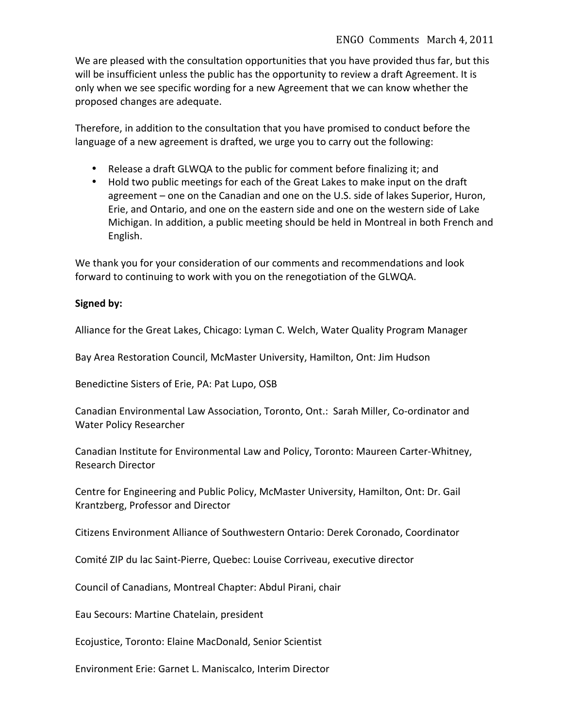We are pleased with the consultation opportunities that you have provided thus far, but this will be insufficient unless the public has the opportunity to review a draft Agreement. It is only when we see specific wording for a new Agreement that we can know whether the proposed changes are adequate.

Therefore, in addition to the consultation that you have promised to conduct before the language of a new agreement is drafted, we urge you to carry out the following:

- Release a draft GLWQA to the public for comment before finalizing it; and
- Hold two public meetings for each of the Great Lakes to make input on the draft agreement – one on the Canadian and one on the U.S. side of lakes Superior, Huron, Erie, and Ontario, and one on the eastern side and one on the western side of Lake Michigan. In addition, a public meeting should be held in Montreal in both French and English.

We thank you for your consideration of our comments and recommendations and look forward to continuing to work with you on the renegotiation of the GLWQA.

# Signed by:

Alliance for the Great Lakes, Chicago: Lyman C. Welch, Water Quality Program Manager

Bay Area Restoration Council, McMaster University, Hamilton, Ont: Jim Hudson

Benedictine Sisters of Erie, PA: Pat Lupo, OSB

Canadian Environmental Law Association, Toronto, Ont.: Sarah Miller, Co-ordinator and Water Policy Researcher

Canadian Institute for Environmental Law and Policy, Toronto: Maureen Carter-Whitney, Research Director

Centre for Engineering and Public Policy, McMaster University, Hamilton, Ont: Dr. Gail Krantzberg, Professor and Director

Citizens Environment Alliance of Southwestern Ontario: Derek Coronado, Coordinator

Comité ZIP du lac Saint-Pierre, Quebec: Louise Corriveau, executive director

Council of Canadians, Montreal Chapter: Abdul Pirani, chair

Eau Secours: Martine Chatelain, president

Ecojustice, Toronto: Elaine MacDonald, Senior Scientist

Environment Erie: Garnet L. Maniscalco, Interim Director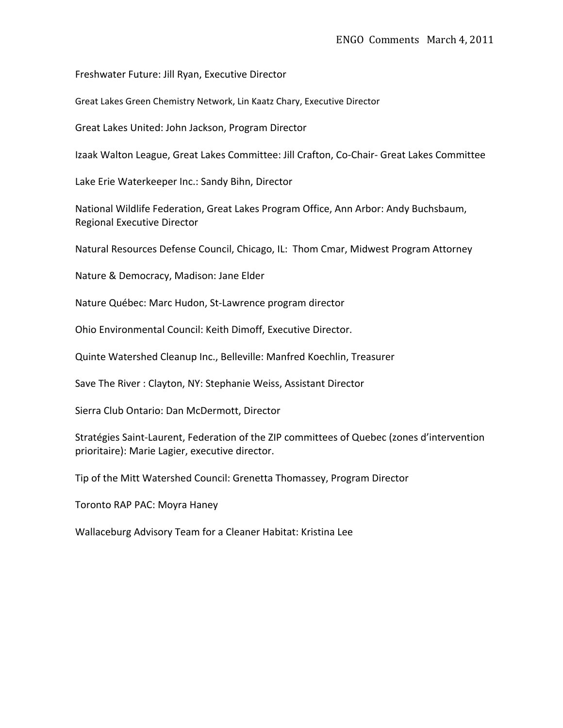Freshwater Future: Jill Ryan, Executive Director

Great Lakes Green Chemistry Network, Lin Kaatz Chary, Executive Director

Great Lakes United: John Jackson, Program Director

Izaak Walton League, Great Lakes Committee: Jill Crafton, Co-Chair- Great Lakes Committee

Lake Erie Waterkeeper Inc.: Sandy Bihn, Director

National Wildlife Federation, Great Lakes Program Office, Ann Arbor: Andy Buchsbaum, Regional Executive Director

Natural Resources Defense Council, Chicago, IL: Thom Cmar, Midwest Program Attorney

Nature & Democracy, Madison: Jane Elder

Nature Québec: Marc Hudon, St-Lawrence program director

Ohio Environmental Council: Keith Dimoff, Executive Director.

Quinte Watershed Cleanup Inc., Belleville: Manfred Koechlin, Treasurer

Save The River: Clayton, NY: Stephanie Weiss, Assistant Director

Sierra Club Ontario: Dan McDermott, Director

Stratégies Saint-Laurent, Federation of the ZIP committees of Quebec (zones d'intervention prioritaire): Marie Lagier, executive director.

Tip of the Mitt Watershed Council: Grenetta Thomassey, Program Director

Toronto RAP PAC: Moyra Haney

Wallaceburg Advisory Team for a Cleaner Habitat: Kristina Lee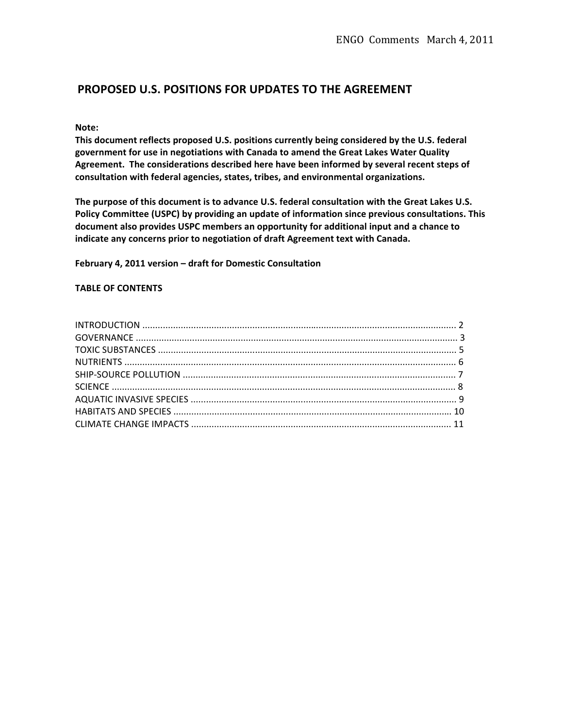# **PROPOSED U.S. POSITIONS FOR UPDATES TO THE AGREEMENT**

#### Note:

This document reflects proposed U.S. positions currently being considered by the U.S. federal government for use in negotiations with Canada to amend the Great Lakes Water Quality Agreement. The considerations described here have been informed by several recent steps of consultation with federal agencies, states, tribes, and environmental organizations.

The purpose of this document is to advance U.S. federal consultation with the Great Lakes U.S. Policy Committee (USPC) by providing an update of information since previous consultations. This document also provides USPC members an opportunity for additional input and a chance to indicate any concerns prior to negotiation of draft Agreement text with Canada.

February 4, 2011 version - draft for Domestic Consultation

#### **TABLE OF CONTENTS**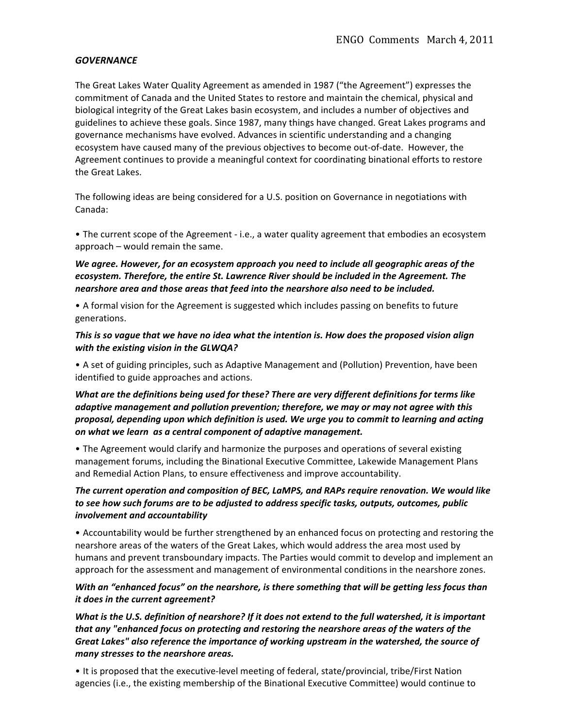#### **GOVERNANCE**

The Great Lakes Water Quality Agreement as amended in 1987 ("the Agreement") expresses the commitment of Canada and the United States to restore and maintain the chemical, physical and biological integrity of the Great Lakes basin ecosystem, and includes a number of objectives and guidelines to achieve these goals. Since 1987, many things have changed. Great Lakes programs and governance mechanisms have evolved. Advances in scientific understanding and a changing ecosystem have caused many of the previous objectives to become out-of-date. However, the Agreement continues to provide a meaningful context for coordinating binational efforts to restore the Great Lakes.

The following ideas are being considered for a U.S. position on Governance in negotiations with Canada:

• The current scope of the Agreement - i.e., a water quality agreement that embodies an ecosystem approach – would remain the same.

## We agree. However, for an ecosystem approach you need to include all geographic areas of the ecosystem. Therefore, the entire St. Lawrence River should be included in the Agreement. The *nearshore area and those areas that feed into the nearshore also need to be included.*

• A formal vision for the Agreement is suggested which includes passing on benefits to future generations.

#### This is so vague that we have no idea what the intention is. How does the proposed vision align *with the existing vision in the GLWQA?*

• A set of guiding principles, such as Adaptive Management and (Pollution) Prevention, have been identified to guide approaches and actions.

## *What are the definitions being used for these? There are very different definitions for terms like* adaptive management and pollution prevention; therefore, we may or may not agree with this *proposal, depending upon which definition is used. We urge you to commit to learning and acting* on what we learn as a central component of adaptive management.

• The Agreement would clarify and harmonize the purposes and operations of several existing management forums, including the Binational Executive Committee, Lakewide Management Plans and Remedial Action Plans, to ensure effectiveness and improve accountability.

## The current operation and composition of BEC, LaMPS, and RAPs require renovation. We would like to see how such forums are to be adjusted to address specific tasks, outputs, outcomes, public *involvement and accountability*

• Accountability would be further strengthened by an enhanced focus on protecting and restoring the nearshore areas of the waters of the Great Lakes, which would address the area most used by humans and prevent transboundary impacts. The Parties would commit to develop and implement an approach for the assessment and management of environmental conditions in the nearshore zones.

## *With an "enhanced focus" on the nearshore, is there something that will be getting less focus than it does in the current agreement?*

*What is the U.S. definition of nearshore? If it does not extend to the full watershed, it is important* that any "enhanced focus on protecting and restoring the nearshore areas of the waters of the Great Lakes" also reference the importance of working upstream in the watershed, the source of *many stresses to the nearshore areas.* 

• It is proposed that the executive-level meeting of federal, state/provincial, tribe/First Nation agencies (i.e., the existing membership of the Binational Executive Committee) would continue to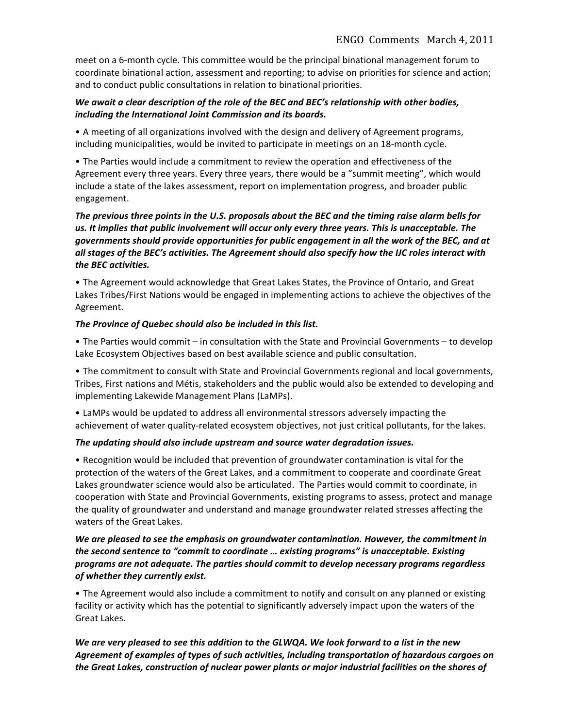meet on a 6-month cycle. This committee would be the principal binational management forum to coordinate binational action, assessment and reporting; to advise on priorities for science and action; and to conduct public consultations in relation to binational priorities.

## *We await a clear description of the role of the BEC and BEC's relationship with other bodies,* including the International Joint Commission and its boards.

• A meeting of all organizations involved with the design and delivery of Agreement programs, including municipalities, would be invited to participate in meetings on an 18-month cycle.

• The Parties would include a commitment to review the operation and effectiveness of the Agreement every three years. Every three years, there would be a "summit meeting", which would include a state of the lakes assessment, report on implementation progress, and broader public engagement.

## The previous three points in the U.S. proposals about the BEC and the timing raise alarm bells for us. It implies that public involvement will occur only every three years. This is unacceptable. The governments should provide opportunities for public engagement in all the work of the BEC, and at all stages of the BEC's activities. The Agreement should also specify how the IJC roles interact with *the(BEC(activities.*

• The Agreement would acknowledge that Great Lakes States, the Province of Ontario, and Great Lakes Tribes/First Nations would be engaged in implementing actions to achieve the objectives of the Agreement.

## The Province of Quebec should also be included in this list.

• The Parties would commit – in consultation with the State and Provincial Governments – to develop Lake Ecosystem Objectives based on best available science and public consultation.

• The commitment to consult with State and Provincial Governments regional and local governments, Tribes, First nations and Métis, stakeholders and the public would also be extended to developing and implementing Lakewide Management Plans (LaMPs).

• LaMPs would be updated to address all environmental stressors adversely impacting the achievement of water quality-related ecosystem objectives, not just critical pollutants, for the lakes.

## The updating should also include upstream and source water degradation issues.

• Recognition would be included that prevention of groundwater contamination is vital for the protection of the waters of the Great Lakes, and a commitment to cooperate and coordinate Great Lakes groundwater science would also be articulated. The Parties would commit to coordinate, in cooperation with State and Provincial Governments, existing programs to assess, protect and manage the quality of groundwater and understand and manage groundwater related stresses affecting the waters of the Great Lakes.

## We are pleased to see the emphasis on groundwater contamination. However, the commitment in the second sentence to "commit to coordinate ... existing programs" is unacceptable. Existing programs are not adequate. The parties should commit to develop necessary programs regardless  $of$  whether they currently exist.

• The Agreement would also include a commitment to notify and consult on any planned or existing facility or activity which has the potential to significantly adversely impact upon the waters of the Great Lakes.

# *We are very pleased to see this addition to the GLWQA. We look forward to a list in the new* Agreement of examples of types of such activities, including transportation of hazardous cargoes on the Great Lakes, construction of nuclear power plants or major industrial facilities on the shores of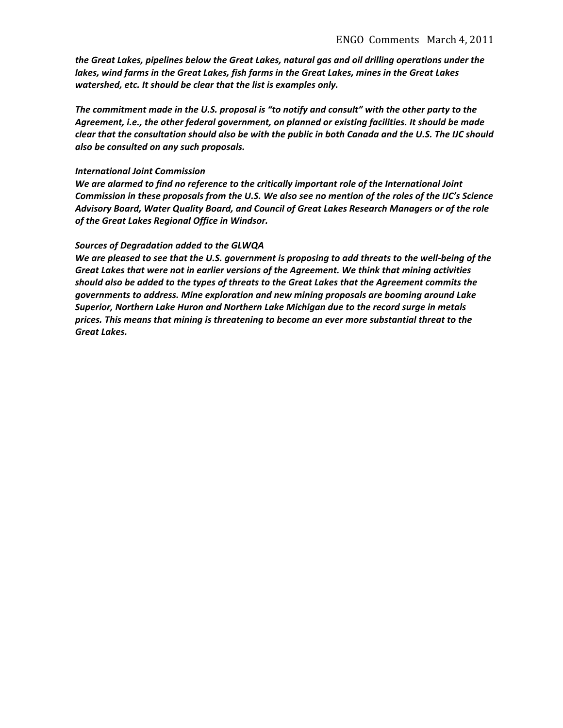the Great Lakes, pipelines below the Great Lakes, natural gas and oil drilling operations under the lakes, wind farms in the Great Lakes, fish farms in the Great Lakes, mines in the Great Lakes *watershed, etc. It should be clear that the list is examples only.* 

The commitment made in the U.S. proposal is "to notify and consult" with the other party to the Agreement, i.e., the other federal government, on planned or existing facilities. It should be made *clear that the consultation should also be with the public in both Canada and the U.S. The IJC should*  $a$ lso be consulted on any such proposals.

#### **International Joint Commission**

We are alarmed to find no reference to the critically important role of the International Joint *Commission in these proposals from the U.S. We also see no mention of the roles of the IJC's Science* Advisory Board, Water Quality Board, and Council of Great Lakes Research Managers or of the role of the Great Lakes Regional Office in Windsor.

#### Sources of Degradation added to the GLWQA

*We are pleased to see that the U.S. government is proposing to add threats to the well-being of the* Great Lakes that were not in earlier versions of the Agreement. We think that mining activities should also be added to the types of threats to the Great Lakes that the Agreement commits the governments to address. Mine exploration and new mining proposals are booming around Lake Superior, Northern Lake Huron and Northern Lake Michigan due to the record surge in metals  $p$ rices. This means that mining is threatening to become an ever more substantial threat to the **Great Lakes.**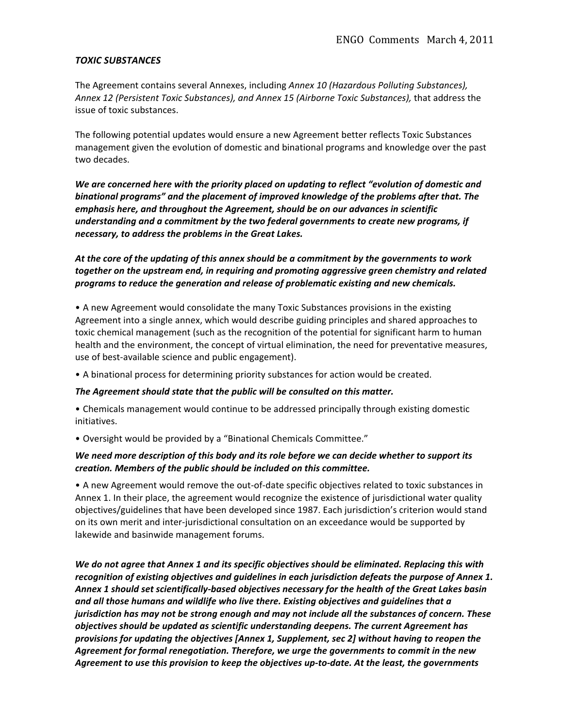#### **TOXIC SUBSTANCES**

The Agreement contains several Annexes, including *Annex 10 (Hazardous Polluting Substances)*, Annex 12 (Persistent Toxic Substances), and Annex 15 (Airborne Toxic Substances), that address the issue of toxic substances.

The following potential updates would ensure a new Agreement better reflects Toxic Substances management given the evolution of domestic and binational programs and knowledge over the past two decades.

We are concerned here with the priority placed on updating to reflect "evolution of domestic and binational programs" and the placement of improved knowledge of the problems after that. The emphasis here, and throughout the Agreement, should be on our advances in scientific understanding and a commitment by the two federal governments to create new programs, if necessary, to address the problems in the Great Lakes.

At the core of the updating of this annex should be a commitment by the governments to work together on the upstream end, in requiring and promoting aggressive green chemistry and related programs to reduce the generation and release of problematic existing and new chemicals.

• A new Agreement would consolidate the many Toxic Substances provisions in the existing Agreement into a single annex, which would describe guiding principles and shared approaches to toxic chemical management (such as the recognition of the potential for significant harm to human health and the environment, the concept of virtual elimination, the need for preventative measures, use of best-available science and public engagement).

• A binational process for determining priority substances for action would be created.

#### The Agreement should state that the public will be consulted on this matter.

• Chemicals management would continue to be addressed principally through existing domestic initiatives.

• Oversight would be provided by a "Binational Chemicals Committee."

## *We need more description of this body and its role before we can decide whether to support its creation.(Members(of(the(public(should(be(included(on(this(committee.*

• A new Agreement would remove the out-of-date specific objectives related to toxic substances in Annex 1. In their place, the agreement would recognize the existence of jurisdictional water quality objectives/guidelines that have been developed since 1987. Each jurisdiction's criterion would stand on its own merit and inter-jurisdictional consultation on an exceedance would be supported by lakewide and basinwide management forums.

*We do not agree that Annex 1 and its specific objectives should be eliminated. Replacing this with* recognition of existing objectives and guidelines in each jurisdiction defeats the purpose of Annex 1. Annex 1 should set scientifically-based objectives necessary for the health of the Great Lakes basin and all those humans and wildlife who live there. Existing objectives and guidelines that a *jurisdiction has may not be strong enough and may not include all the substances of concern. These* biectives should be updated as scientific understanding deepens. The current Agreement has *provisions for updating the objectives [Annex 1, Supplement, sec 2] without having to reopen the* Agreement for formal renegotiation. Therefore, we urge the governments to commit in the new Agreement to use this provision to keep the objectives up-to-date. At the least, the governments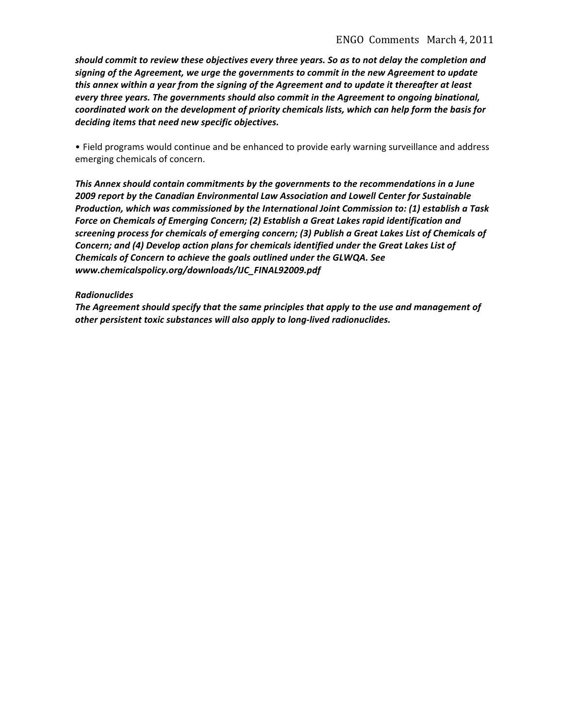should commit to review these objectives every three years. So as to not delay the completion and signing of the Agreement, we urge the governments to commit in the new Agreement to update this annex within a year from the signing of the Agreement and to update it thereafter at least every three years. The governments should also commit in the Agreement to ongoing binational,  $coordinated$  work on the development of priority chemicals lists, which can help form the basis for deciding items that need new specific objectives.

• Field programs would continue and be enhanced to provide early warning surveillance and address emerging chemicals of concern.

This Annex should contain commitments by the governments to the recommendations in a June **2009 report by the Canadian Environmental Law Association and Lowell Center for Sustainable** *Production, which was commissioned by the International Joint Commission to: (1) establish a Task* Force on Chemicals of Emerging Concern; (2) Establish a Great Lakes rapid identification and screening process for chemicals of emerging concern; (3) Publish a Great Lakes List of Chemicals of *Concern; and (4) Develop action plans for chemicals identified under the Great Lakes List of* Chemicals of Concern to achieve the goals outlined under the GLWQA. See *www.chemicalspolicy.org/downloads/IJC\_FINAL92009.pdf*

#### *Radionuclides*

The Agreement should specify that the same principles that apply to the use and management of other persistent toxic substances will also apply to long-lived radionuclides.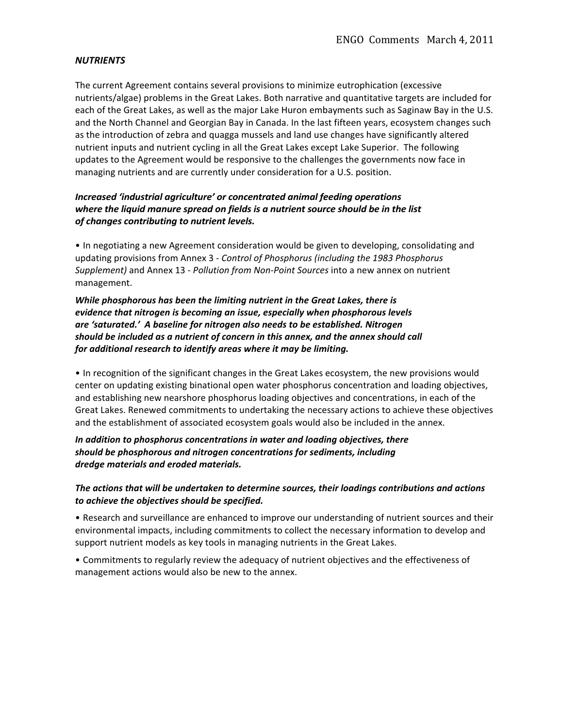#### *NUTRIENTS(*

The current Agreement contains several provisions to minimize eutrophication (excessive nutrients/algae) problems in the Great Lakes. Both narrative and quantitative targets are included for each of the Great Lakes, as well as the major Lake Huron embayments such as Saginaw Bay in the U.S. and the North Channel and Georgian Bay in Canada. In the last fifteen years, ecosystem changes such as the introduction of zebra and quagga mussels and land use changes have significantly altered nutrient inputs and nutrient cycling in all the Great Lakes except Lake Superior. The following updates to the Agreement would be responsive to the challenges the governments now face in managing nutrients and are currently under consideration for a U.S. position.

## *Increased 'industrial agriculture' or concentrated animal feeding operations* where the liquid manure spread on fields is a nutrient source should be in the list  $of$  changes contributing to nutrient levels.

• In negotiating a new Agreement consideration would be given to developing, consolidating and updating provisions from Annex 3 - Control of Phosphorus (including the 1983 Phosphorus Supplement) and Annex 13 - Pollution from Non-Point Sources into a new annex on nutrient management.

*While phosphorous has been the limiting nutrient in the Great Lakes, there is evidence that nitrogen is becoming an issue, especially when phosphorous levels are('saturated.'((A(baseline(for(nitrogen(also(needs(to(be(established.(Nitrogen( should(be(included(as(a(nutrient(of(concern(in(this(annex,(and(the(annex(should(call(* for additional research to identify areas where it may be limiting.

• In recognition of the significant changes in the Great Lakes ecosystem, the new provisions would center on updating existing binational open water phosphorus concentration and loading objectives, and establishing new nearshore phosphorus loading objectives and concentrations, in each of the Great Lakes. Renewed commitments to undertaking the necessary actions to achieve these objectives and the establishment of associated ecosystem goals would also be included in the annex.

In addition to phosphorus concentrations in water and loading objectives, there should be phosphorous and nitrogen concentrations for sediments, including *dredge(materials(and(eroded(materials.*

## The actions that will be undertaken to determine sources, their loadings contributions and actions to achieve the objectives should be specified.

• Research and surveillance are enhanced to improve our understanding of nutrient sources and their environmental impacts, including commitments to collect the necessary information to develop and support nutrient models as key tools in managing nutrients in the Great Lakes.

• Commitments to regularly review the adequacy of nutrient objectives and the effectiveness of management actions would also be new to the annex.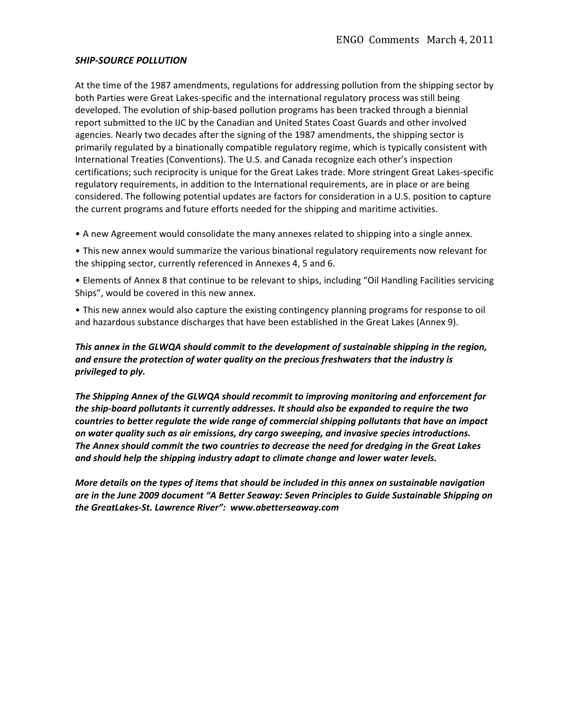#### **SHIP-SOURCE POLLUTION**

At the time of the 1987 amendments, regulations for addressing pollution from the shipping sector by both Parties were Great Lakes-specific and the international regulatory process was still being developed. The evolution of ship-based pollution programs has been tracked through a biennial report submitted to the IJC by the Canadian and United States Coast Guards and other involved agencies. Nearly two decades after the signing of the 1987 amendments, the shipping sector is primarily regulated by a binationally compatible regulatory regime, which is typically consistent with International Treaties (Conventions). The U.S. and Canada recognize each other's inspection certifications; such reciprocity is unique for the Great Lakes trade. More stringent Great Lakes-specific regulatory requirements, in addition to the International requirements, are in place or are being considered. The following potential updates are factors for consideration in a U.S. position to capture the current programs and future efforts needed for the shipping and maritime activities.

• A new Agreement would consolidate the many annexes related to shipping into a single annex.

• This new annex would summarize the various binational regulatory requirements now relevant for the shipping sector, currently referenced in Annexes 4, 5 and 6.

- Elements of Annex 8 that continue to be relevant to ships, including "Oil Handling Facilities servicing Ships", would be covered in this new annex.
- This new annex would also capture the existing contingency planning programs for response to oil and hazardous substance discharges that have been established in the Great Lakes (Annex 9).

## This annex in the GLWQA should commit to the development of sustainable shipping in the region, and ensure the protection of water quality on the precious freshwaters that the industry is *privileged to ply.*

The Shipping Annex of the GLWQA should recommit to improving monitoring and enforcement for the ship-board pollutants it currently addresses. It should also be expanded to require the two countries to better regulate the wide range of commercial shipping pollutants that have an impact on water quality such as air emissions, dry cargo sweeping, and invasive species introductions. The Annex should commit the two countries to decrease the need for dredging in the Great Lakes and should help the shipping industry adapt to climate change and lower water levels.

*More details on the types of items that should be included in this annex on sustainable navigation* are in the June 2009 document "A Better Seaway: Seven Principles to Guide Sustainable Shipping on the GreatLakes-St. Lawrence River": www.abetterseaway.com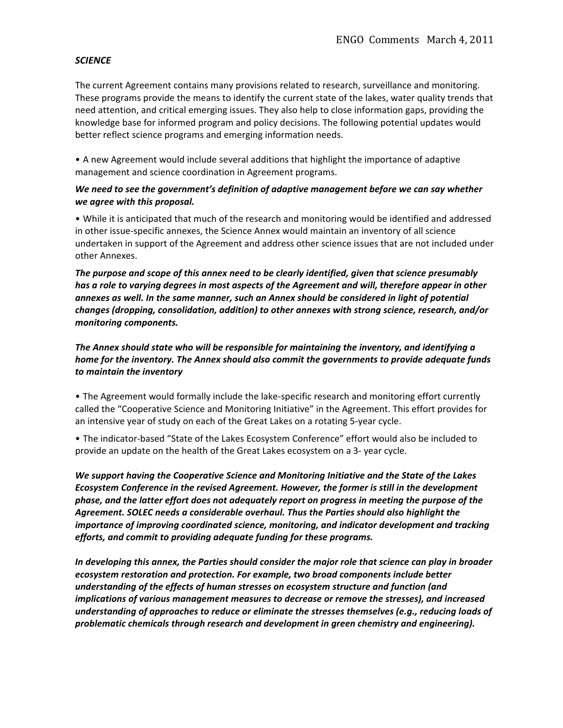## SCIENCE

The current Agreement contains many provisions related to research, surveillance and monitoring. These programs provide the means to identify the current state of the lakes, water quality trends that need attention, and critical emerging issues. They also help to close information gaps, providing the knowledge base for informed program and policy decisions. The following potential updates would better reflect science programs and emerging information needs.

• A new Agreement would include several additions that highlight the importance of adaptive management and science coordination in Agreement programs.

## *We need to see the government's definition of adaptive management before we can say whether we agree with this proposal.*

• While it is anticipated that much of the research and monitoring would be identified and addressed in other issue-specific annexes, the Science Annex would maintain an inventory of all science undertaken in support of the Agreement and address other science issues that are not included under other Annexes.

The purpose and scope of this annex need to be clearly identified, given that science presumably has a role to varying degrees in most aspects of the Agreement and will, therefore appear in other annexes as well. In the same manner, such an Annex should be considered in light of potential *changes((dropping,(consolidation,(addition)(to(other(annexes(with(strong(science,(research,(and/or( monitoring components.* 

*The Annex should state who will be responsible for maintaining the inventory, and identifying a* home for the inventory. The Annex should also commit the governments to provide adequate funds to maintain the inventory

• The Agreement would formally include the lake-specific research and monitoring effort currently called the "Cooperative Science and Monitoring Initiative" in the Agreement. This effort provides for an intensive year of study on each of the Great Lakes on a rotating 5-year cycle.

• The indicator-based "State of the Lakes Ecosystem Conference" effort would also be included to provide an update on the health of the Great Lakes ecosystem on a 3- year cycle.

*We support having the Cooperative Science and Monitoring Initiative and the State of the Lakes* Ecosystem Conference in the revised Agreement. However, the former is still in the development phase, and the latter effort does not adequately report on progress in meeting the purpose of the Agreement. SOLEC needs a considerable overhaul. Thus the Parties should also highlight the importance of improving coordinated science, monitoring, and indicator development and tracking efforts, and commit to providing adequate funding for these programs.

In developing this annex, the Parties should consider the major role that science can play in broader  $ecosystem$  restoration and protection. For example, two broad components include better understanding of the effects of human stresses on ecosystem structure and function (and implications of various management measures to decrease or remove the stresses), and increased *understanding of approaches to reduce or eliminate the stresses themselves (e.g., reducing loads of* problematic chemicals through research and development in green chemistry and engineering).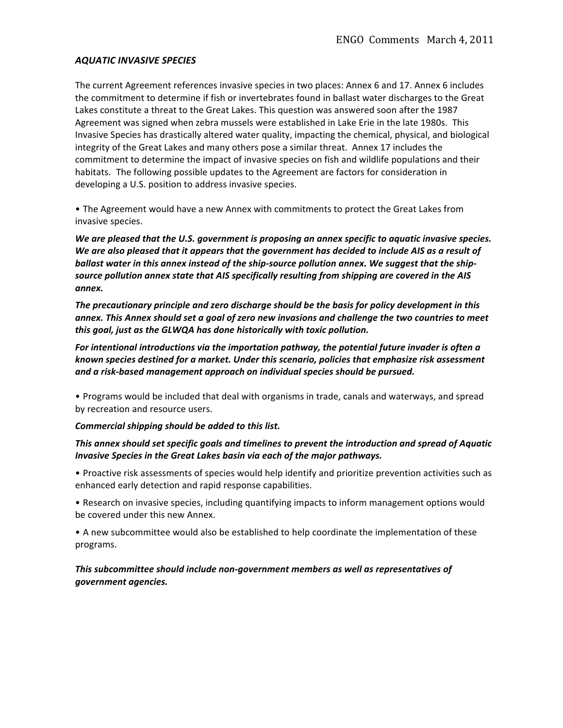#### **AQUATIC INVASIVE SPECIES**

The current Agreement references invasive species in two places: Annex 6 and 17. Annex 6 includes the commitment to determine if fish or invertebrates found in ballast water discharges to the Great Lakes constitute a threat to the Great Lakes. This question was answered soon after the 1987 Agreement was signed when zebra mussels were established in Lake Erie in the late 1980s. This Invasive Species has drastically altered water quality, impacting the chemical, physical, and biological integrity of the Great Lakes and many others pose a similar threat. Annex 17 includes the commitment to determine the impact of invasive species on fish and wildlife populations and their habitats. The following possible updates to the Agreement are factors for consideration in developing a U.S. position to address invasive species.

• The Agreement would have a new Annex with commitments to protect the Great Lakes from invasive species.

*We are pleased that the U.S. government is proposing an annex specific to aquatic invasive species. We are also pleased that it appears that the government has decided to include AIS as a result of* ballast water in this annex instead of the ship-source pollution annex. We suggest that the shipsource pollution annex state that AIS specifically resulting from shipping are covered in the AIS *annex.*

The precautionary principle and zero discharge should be the basis for policy development in this annex. This Annex should set a goal of zero new invasions and challenge the two countries to meet this goal, just as the GLWQA has done historically with toxic pollution.

For intentional introductions via the importation pathway, the potential future invader is often a known species destined for a market. Under this scenario, policies that emphasize risk assessment and a risk-based management approach on individual species should be pursued.

• Programs would be included that deal with organisms in trade, canals and waterways, and spread by recreation and resource users.

#### *Commercial shipping should be added to this list.*

## This annex should set specific goals and timelines to prevent the introduction and spread of Aquatic *Invasive Species in the Great Lakes basin via each of the major pathways.*

• Proactive risk assessments of species would help identify and prioritize prevention activities such as enhanced early detection and rapid response capabilities.

• Research on invasive species, including quantifying impacts to inform management options would be covered under this new Annex.

• A new subcommittee would also be established to help coordinate the implementation of these programs.!

This subcommittee should include non-government members as well as representatives of *government(agencies.*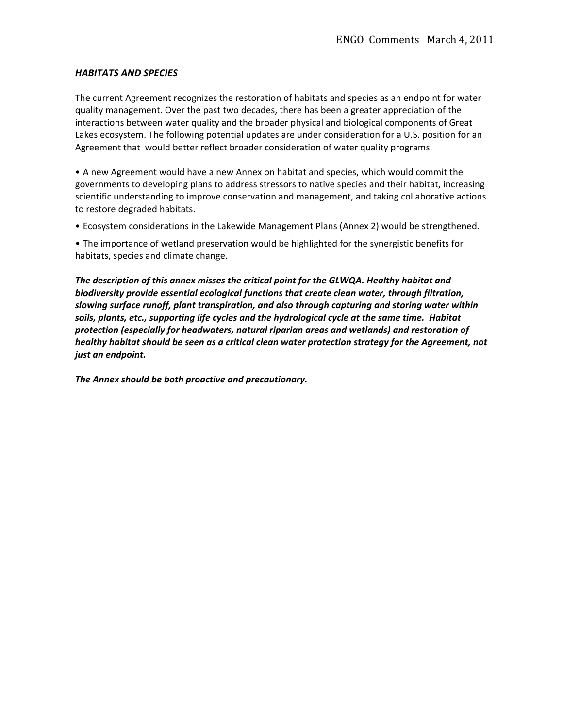#### **HABITATS AND SPECIES**

The current Agreement recognizes the restoration of habitats and species as an endpoint for water quality management. Over the past two decades, there has been a greater appreciation of the interactions between water quality and the broader physical and biological components of Great Lakes ecosystem. The following potential updates are under consideration for a U.S. position for an Agreement that would better reflect broader consideration of water quality programs.

• A new Agreement would have a new Annex on habitat and species, which would commit the governments to developing plans to address stressors to native species and their habitat, increasing scientific understanding to improve conservation and management, and taking collaborative actions to restore degraded habitats.

• Ecosystem considerations in the Lakewide Management Plans (Annex 2) would be strengthened.

• The importance of wetland preservation would be highlighted for the synergistic benefits for habitats, species and climate change.

The description of this annex misses the critical point for the GLWQA. Healthy habitat and biodiversity provide essential ecological functions that create clean water, through filtration, slowing surface runoff, plant transpiration, and also through capturing and storing water within *soils,(plants,(etc.,(supporting(life(cycles(and(the(hydrological(cycle(at(the(same(time.( Habitat(* protection (especially for headwaters, natural riparian areas and wetlands) and restoration of healthy habitat should be seen as a critical clean water protection strategy for the Agreement, not *just an endpoint.* 

The Annex should be both proactive and precautionary.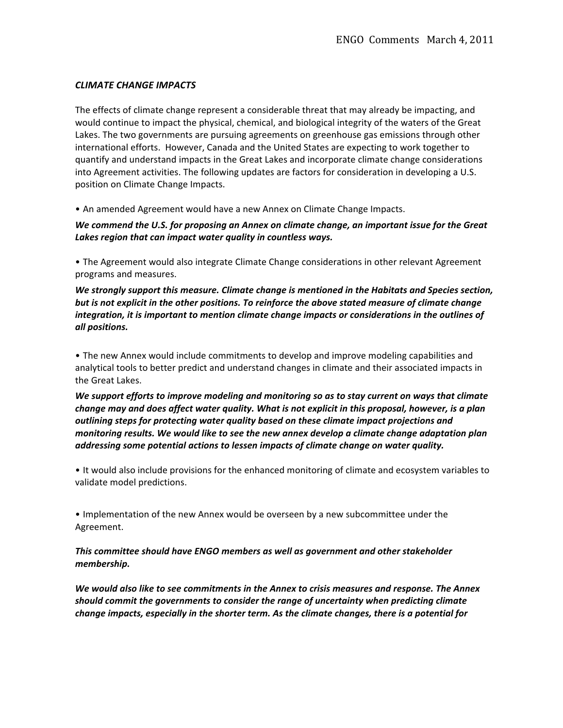#### **CLIMATE CHANGE IMPACTS**

The effects of climate change represent a considerable threat that may already be impacting, and would continue to impact the physical, chemical, and biological integrity of the waters of the Great Lakes. The two governments are pursuing agreements on greenhouse gas emissions through other international efforts. However, Canada and the United States are expecting to work together to quantify and understand impacts in the Great Lakes and incorporate climate change considerations into Agreement activities. The following updates are factors for consideration in developing a U.S. position on Climate Change Impacts.

• An amended Agreement would have a new Annex on Climate Change Impacts.

*We commend the U.S. for proposing an Annex on climate change, an important issue for the Great* Lakes region that can impact water quality in countless ways.

• The Agreement would also integrate Climate Change considerations in other relevant Agreement programs and measures.

*We strongly support this measure. Climate change is mentioned in the Habitats and Species section,* but is not explicit in the other positions. To reinforce the above stated measure of climate change *integration, it is important to mention climate change impacts or considerations in the outlines of*  $all$  positions.

• The new Annex would include commitments to develop and improve modeling capabilities and analytical tools to better predict and understand changes in climate and their associated impacts in the Great Lakes.

We support efforts to improve modeling and monitoring so as to stay current on ways that climate change may and does affect water quality. What is not explicit in this proposal, however, is a plan  $outlining$  steps for protecting water quality based on these climate impact projections and monitoring results. We would like to see the new annex develop a climate change adaptation plan addressing some potential actions to lessen impacts of climate change on water quality.

• It would also include provisions for the enhanced monitoring of climate and ecosystem variables to validate model predictions.

• Implementation of the new Annex would be overseen by a new subcommittee under the Agreement.

This committee should have ENGO members as well as government and other stakeholder *membership.*

We would also like to see commitments in the Annex to crisis measures and response. The Annex should commit the governments to consider the range of uncertainty when predicting climate change impacts, especially in the shorter term. As the climate changes, there is a potential for